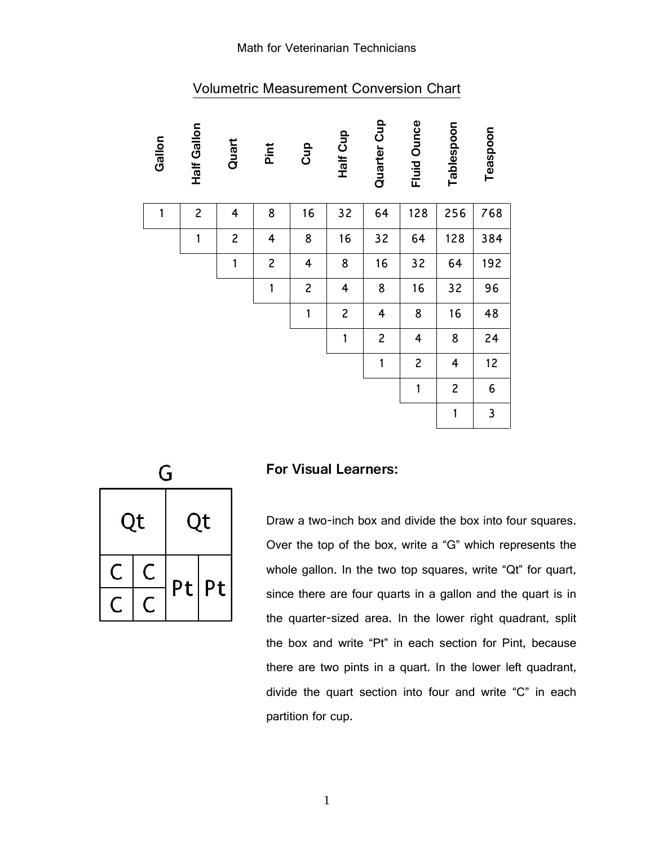#### Math for Veterinarian Technicians

| Gallon | <b>Half Gallon</b> | Quart          | Pint                    | Cup            | Half Cup       | Quarter Cup             | <b>Fluid Ounce</b> | Tablespoon     | Teaspoon     |
|--------|--------------------|----------------|-------------------------|----------------|----------------|-------------------------|--------------------|----------------|--------------|
| 1      | $\overline{c}$     | 4              | 8                       | 16             | 32             | 64                      | 128                | 256            | 768          |
|        | $\mathbf{1}$       | $\overline{c}$ | $\overline{\mathbf{4}}$ | 8              | 16             | 32                      | 64                 | 128            | 384          |
|        |                    | 1              | $\overline{c}$          | 4              | 8              | 16                      | 32                 | 64             | 192          |
|        |                    |                | $\mathbf{1}$            | $\overline{c}$ | 4              | 8                       | 16                 | 32             | 96           |
|        |                    |                |                         | $\mathbf{1}$   | $\overline{c}$ | $\overline{\mathbf{4}}$ | 8                  | 16             | 48           |
|        |                    |                |                         |                | $\mathbf{1}$   | $\overline{c}$          | 4                  | 8              | 24           |
|        |                    |                |                         |                |                | $\mathbf{1}$            | $\overline{c}$     | 4              | 12           |
|        |                    |                |                         |                |                |                         | $\mathbf{1}$       | $\overline{c}$ | 6            |
|        |                    |                |                         |                |                |                         |                    | 1              | $\mathsf{3}$ |

## Volumetric Measurement Conversion Chart

|  | Qt | Ot |    |  |  |
|--|----|----|----|--|--|
|  |    | Pt | Pt |  |  |

#### **For Visual Learners:**

Draw a two-inch box and divide the box into four squares. Over the top of the box, write a "G" which represents the whole gallon. In the two top squares, write "Qt" for quart, since there are four quarts in a gallon and the quart is in the quarter-sized area. In the lower right quadrant, split the box and write "Pt" in each section for Pint, because there are two pints in a quart. In the lower left quadrant, divide the quart section into four and write "C" in each partition for cup.